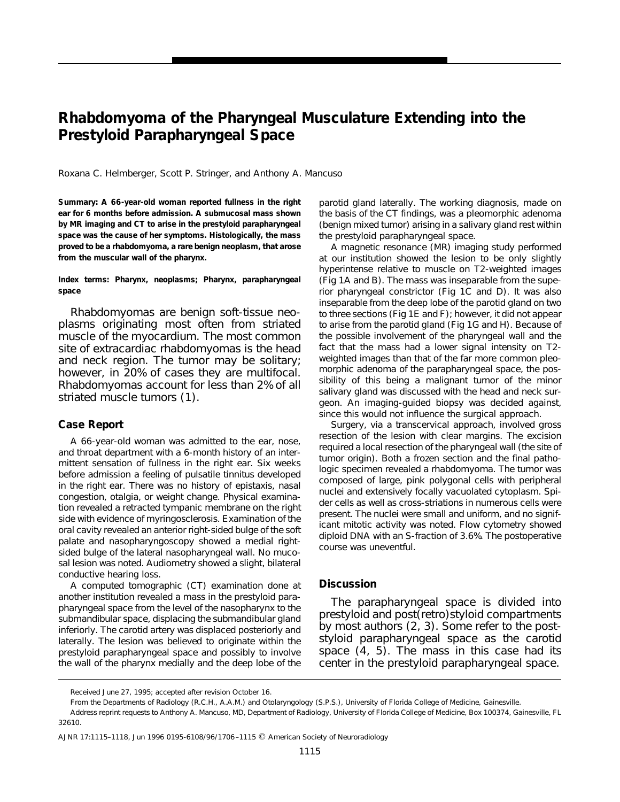## **Rhabdomyoma of the Pharyngeal Musculature Extending into the Prestyloid Parapharyngeal Space**

Roxana C. Helmberger, Scott P. Stringer, and Anthony A. Mancuso

**Summary: A 66-year-old woman reported fullness in the right ear for 6 months before admission. A submucosal mass shown by MR imaging and CT to arise in the prestyloid parapharyngeal space was the cause of her symptoms. Histologically, the mass proved to be a rhabdomyoma, a rare benign neoplasm, that arose from the muscular wall of the pharynx.**

**Index terms: Pharynx, neoplasms; Pharynx, parapharyngeal space**

Rhabdomyomas are benign soft-tissue neoplasms originating most often from striated muscle of the myocardium. The most common site of extracardiac rhabdomyomas is the head and neck region. The tumor may be solitary; however, in 20% of cases they are multifocal. Rhabdomyomas account for less than 2% of all striated muscle tumors (1).

## **Case Report**

A 66-year-old woman was admitted to the ear, nose, and throat department with a 6-month history of an intermittent sensation of fullness in the right ear. Six weeks before admission a feeling of pulsatile tinnitus developed in the right ear. There was no history of epistaxis, nasal congestion, otalgia, or weight change. Physical examination revealed a retracted tympanic membrane on the right side with evidence of myringosclerosis. Examination of the oral cavity revealed an anterior right-sided bulge of the soft palate and nasopharyngoscopy showed a medial rightsided bulge of the lateral nasopharyngeal wall. No mucosal lesion was noted. Audiometry showed a slight, bilateral conductive hearing loss.

A computed tomographic (CT) examination done at another institution revealed a mass in the prestyloid parapharyngeal space from the level of the nasopharynx to the submandibular space, displacing the submandibular gland inferiorly. The carotid artery was displaced posteriorly and laterally. The lesion was believed to originate within the prestyloid parapharyngeal space and possibly to involve the wall of the pharynx medially and the deep lobe of the parotid gland laterally. The working diagnosis, made on the basis of the CT findings, was a pleomorphic adenoma (benign mixed tumor) arising in a salivary gland rest within the prestyloid parapharyngeal space.

A magnetic resonance (MR) imaging study performed at our institution showed the lesion to be only slightly hyperintense relative to muscle on T2-weighted images (Fig 1A and B). The mass was inseparable from the superior pharyngeal constrictor (Fig 1C and D). It was also inseparable from the deep lobe of the parotid gland on two to three sections (Fig 1E and F); however, it did not appear to arise from the parotid gland (Fig 1G and H). Because of the possible involvement of the pharyngeal wall and the fact that the mass had a lower signal intensity on T2 weighted images than that of the far more common pleomorphic adenoma of the parapharyngeal space, the possibility of this being a malignant tumor of the minor salivary gland was discussed with the head and neck surgeon. An imaging-guided biopsy was decided against, since this would not influence the surgical approach.

Surgery, via a transcervical approach, involved gross resection of the lesion with clear margins. The excision required a local resection of the pharyngeal wall (the site of tumor origin). Both a frozen section and the final pathologic specimen revealed a rhabdomyoma. The tumor was composed of large, pink polygonal cells with peripheral nuclei and extensively focally vacuolated cytoplasm. Spider cells as well as cross-striations in numerous cells were present. The nuclei were small and uniform, and no significant mitotic activity was noted. Flow cytometry showed diploid DNA with an S-fraction of 3.6%. The postoperative course was uneventful.

## **Discussion**

The parapharyngeal space is divided into prestyloid and post(retro)styloid compartments by most authors (2, 3). Some refer to the poststyloid parapharyngeal space as the carotid space (4, 5). The mass in this case had its center in the prestyloid parapharyngeal space.

Received June 27, 1995; accepted after revision October 16.

From the Departments of Radiology (R.C.H., A.A.M.) and Otolaryngology (S.P.S.), University of Florida College of Medicine, Gainesville.

Address reprint requests to Anthony A. Mancuso, MD, Department of Radiology, University of Florida College of Medicine, Box 100374, Gainesville, FL 32610.

AJNR 17:1115-1118, Jun 1996 0195-6108/96/1706-1115 © American Society of Neuroradiology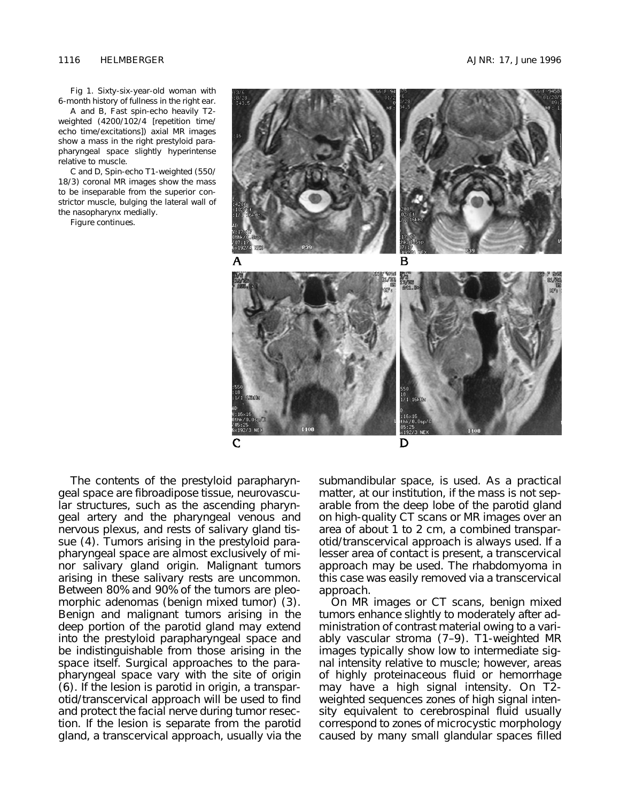Fig 1. Sixty-six-year-old woman with 6-month history of fullness in the right ear. *A* and *B*, Fast spin-echo heavily T2 weighted (4200/102/4 [repetition time/ echo time/excitations]) axial MR images show a mass in the right prestyloid parapharyngeal space slightly hyperintense

relative to muscle. *C* and *D*, Spin-echo T1-weighted (550/ 18/3) coronal MR images show the mass to be inseparable from the superior constrictor muscle, bulging the lateral wall of the nasopharynx medially.

*Figure continues.*



The contents of the prestyloid parapharyngeal space are fibroadipose tissue, neurovascular structures, such as the ascending pharyngeal artery and the pharyngeal venous and nervous plexus, and rests of salivary gland tissue (4). Tumors arising in the prestyloid parapharyngeal space are almost exclusively of minor salivary gland origin. Malignant tumors arising in these salivary rests are uncommon. Between 80% and 90% of the tumors are pleomorphic adenomas (benign mixed tumor) (3). Benign and malignant tumors arising in the deep portion of the parotid gland may extend into the prestyloid parapharyngeal space and be indistinguishable from those arising in the space itself. Surgical approaches to the parapharyngeal space vary with the site of origin (6). If the lesion is parotid in origin, a transparotid/transcervical approach will be used to find and protect the facial nerve during tumor resection. If the lesion is separate from the parotid gland, a transcervical approach, usually via the

submandibular space, is used. As a practical matter, at our institution, if the mass is not separable from the deep lobe of the parotid gland on high-quality CT scans or MR images over an area of about 1 to 2 cm, a combined transparotid/transcervical approach is always used. If a lesser area of contact is present, a transcervical approach may be used. The rhabdomyoma in this case was easily removed via a transcervical approach.

On MR images or CT scans, benign mixed tumors enhance slightly to moderately after administration of contrast material owing to a variably vascular stroma (7–9). T1-weighted MR images typically show low to intermediate signal intensity relative to muscle; however, areas of highly proteinaceous fluid or hemorrhage may have a high signal intensity. On T2 weighted sequences zones of high signal intensity equivalent to cerebrospinal fluid usually correspond to zones of microcystic morphology caused by many small glandular spaces filled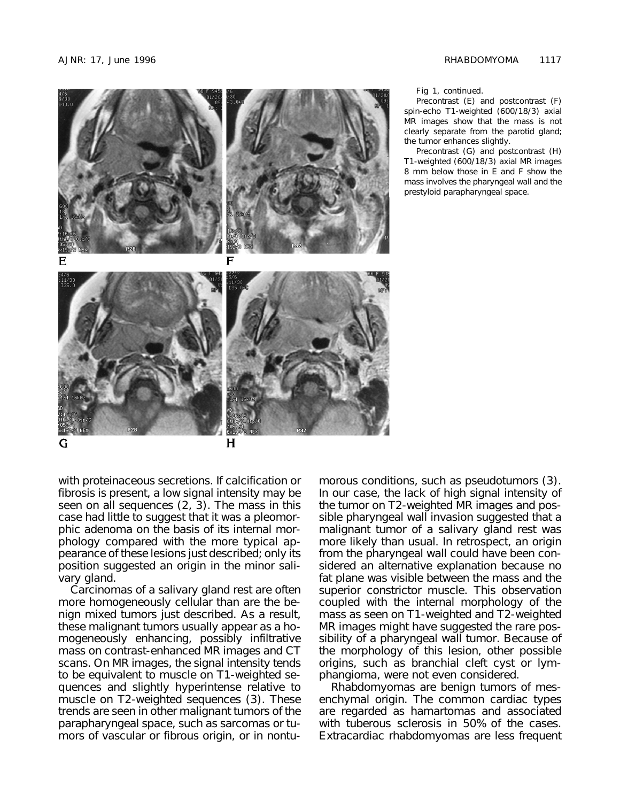

Fig 1, *continued*.

Precontrast (*E*) and postcontrast (*F*) spin-echo T1-weighted (600/18/3) axial MR images show that the mass is not clearly separate from the parotid gland; the tumor enhances slightly.

Precontrast (*G*) and postcontrast (*H*) T1-weighted (600/18/3) axial MR images 8 mm below those in *E* and *F* show the mass involves the pharyngeal wall and the prestyloid parapharyngeal space.

with proteinaceous secretions. If calcification or fibrosis is present, a low signal intensity may be seen on all sequences (2, 3). The mass in this case had little to suggest that it was a pleomorphic adenoma on the basis of its internal morphology compared with the more typical appearance of these lesions just described; only its position suggested an origin in the minor salivary gland.

Carcinomas of a salivary gland rest are often more homogeneously cellular than are the benign mixed tumors just described. As a result, these malignant tumors usually appear as a homogeneously enhancing, possibly infiltrative mass on contrast-enhanced MR images and CT scans. On MR images, the signal intensity tends to be equivalent to muscle on T1-weighted sequences and slightly hyperintense relative to muscle on T2-weighted sequences (3). These trends are seen in other malignant tumors of the parapharyngeal space, such as sarcomas or tumors of vascular or fibrous origin, or in nontumorous conditions, such as pseudotumors (3). In our case, the lack of high signal intensity of the tumor on T2-weighted MR images and possible pharyngeal wall invasion suggested that a malignant tumor of a salivary gland rest was more likely than usual. In retrospect, an origin from the pharyngeal wall could have been considered an alternative explanation because no fat plane was visible between the mass and the superior constrictor muscle. This observation coupled with the internal morphology of the mass as seen on T1-weighted and T2-weighted MR images might have suggested the rare possibility of a pharyngeal wall tumor. Because of the morphology of this lesion, other possible origins, such as branchial cleft cyst or lymphangioma, were not even considered.

Rhabdomyomas are benign tumors of mesenchymal origin. The common cardiac types are regarded as hamartomas and associated with tuberous sclerosis in 50% of the cases. Extracardiac rhabdomyomas are less frequent